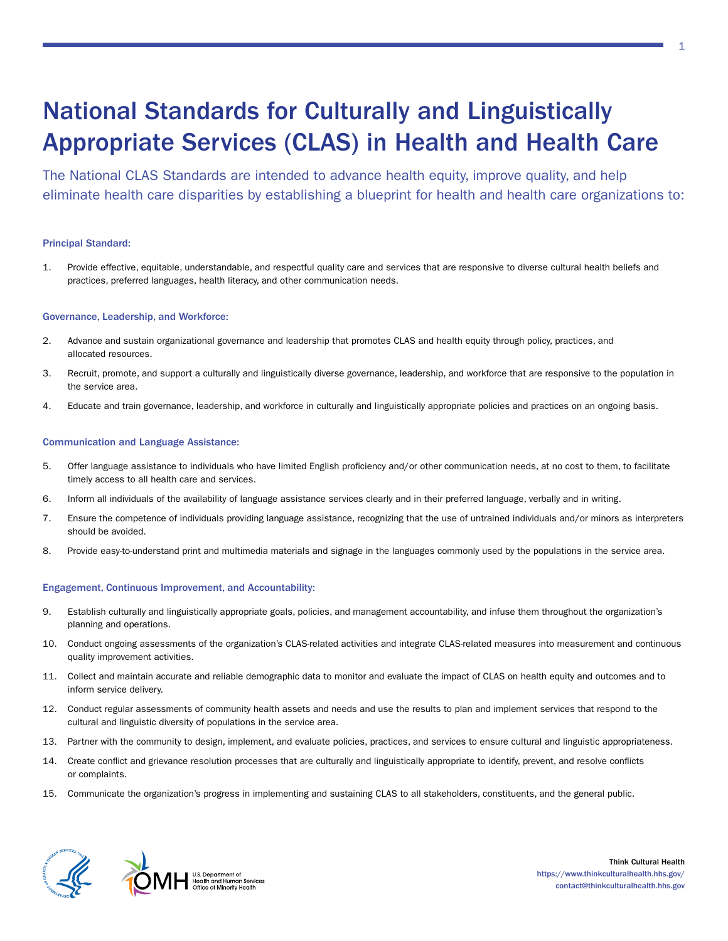# National Standards for Culturally and Linguistically Appropriate Services (CLAS) in Health and Health Care

The National CLAS Standards are intended to advance health equity, improve quality, and help eliminate health care disparities by establishing a blueprint for health and health care organizations to:

### Principal Standard:

1. Provide effective, equitable, understandable, and respectful quality care and services that are responsive to diverse cultural health beliefs and practices, preferred languages, health literacy, and other communication needs.

#### Governance, Leadership, and Workforce:

- 2. Advance and sustain organizational governance and leadership that promotes CLAS and health equity through policy, practices, and allocated resources.
- 3. Recruit, promote, and support a culturally and linguistically diverse governance, leadership, and workforce that are responsive to the population in the service area.
- 4. Educate and train governance, leadership, and workforce in culturally and linguistically appropriate policies and practices on an ongoing basis.

#### Communication and Language Assistance:

- 5. Offer language assistance to individuals who have limited English proficiency and/or other communication needs, at no cost to them, to facilitate timely access to all health care and services.
- 6. Inform all individuals of the availability of language assistance services clearly and in their preferred language, verbally and in writing.
- 7. Ensure the competence of individuals providing language assistance, recognizing that the use of untrained individuals and/or minors as interpreters should be avoided.
- 8. Provide easy-to-understand print and multimedia materials and signage in the languages commonly used by the populations in the service area.

#### Engagement, Continuous Improvement, and Accountability:

- 9. Establish culturally and linguistically appropriate goals, policies, and management accountability, and infuse them throughout the organization's planning and operations.
- 10. Conduct ongoing assessments of the organization's CLAS-related activities and integrate CLAS-related measures into measurement and continuous quality improvement activities.
- 11. Collect and maintain accurate and reliable demographic data to monitor and evaluate the impact of CLAS on health equity and outcomes and to inform service delivery.
- 12. Conduct regular assessments of community health assets and needs and use the results to plan and implement services that respond to the cultural and linguistic diversity of populations in the service area.
- 13. Partner with the community to design, implement, and evaluate policies, practices, and services to ensure cultural and linguistic appropriateness.
- 14. Create conflict and grievance resolution processes that are culturally and linguistically appropriate to identify, prevent, and resolve conflicts or complaints.
- 15. Communicate the organization's progress in implementing and sustaining CLAS to all stakeholders, constituents, and the general public.





Think Cultural Health <https://www.thinkculturalhealth.hhs.gov/> [contact@thinkculturalhealth.hhs.gov](mailto:contact@thinkculturalhealth.hhs.gov)